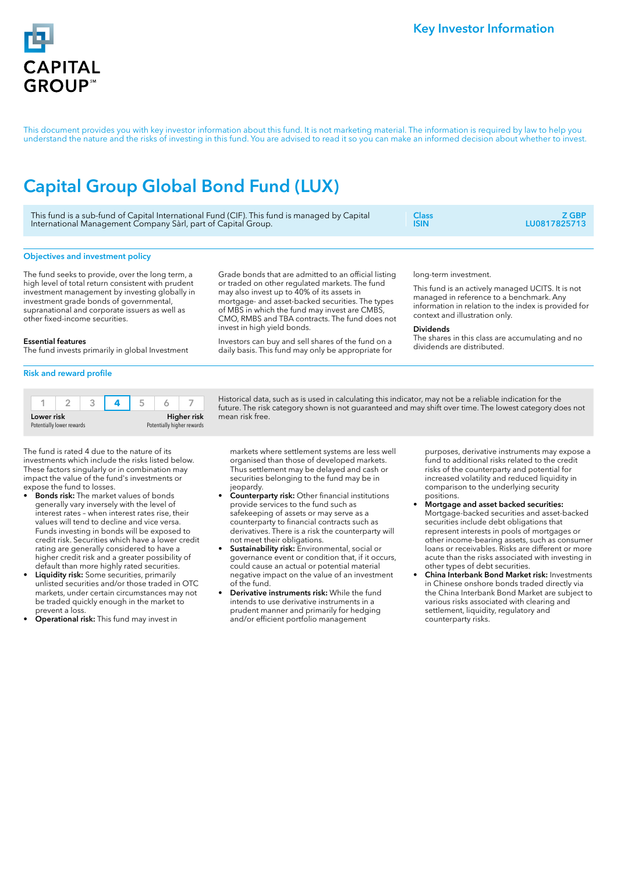

This document provides you with key investor information about this fund. It is not marketing material. The information is required by law to help you understand the nature and the risks of investing in this fund. You are advised to read it so you can make an informed decision about whether to invest.

# Capital Group Global Bond Fund (LUX)

| This fund is a sub-fund of Capital International Fund (CIF). This fund is managed by Capital | Class <sup>-</sup> | Z GBP :      |
|----------------------------------------------------------------------------------------------|--------------------|--------------|
| International Management Company Sàrl, part of Capital Group.                                | ISIN               | LU0817825713 |

# Objectives and investment policy

The fund seeks to provide, over the long term, a high level of total return consistent with prudent investment management by investing globally in investment grade bonds of governmental, supranational and corporate issuers as well as other fixed-income securities.

Grade bonds that are admitted to an official listing or traded on other regulated markets. The fund may also invest up to 40% of its assets in mortgage- and asset-backed securities. The types of MBS in which the fund may invest are CMBS, CMO, RMBS and TBA contracts. The fund does not invest in high yield bonds.

Investors can buy and sell shares of the fund on a daily basis. This fund may only be appropriate for

long-term investment.

This fund is an actively managed UCITS. It is not managed in reference to a benchmark. Any information in relation to the index is provided for context and illustration only.

#### Dividends

The shares in this class are accumulating and no dividends are distributed.

# Essential features

The fund invests primarily in global Investment

## Risk and reward profile

| Lower risk                |  |  | Higher risk                |  |  |  |
|---------------------------|--|--|----------------------------|--|--|--|
| Potentially lower rewards |  |  | Potentially higher rewards |  |  |  |

The fund is rated 4 due to the nature of its investments which include the risks listed below. These factors singularly or in combination may impact the value of the fund's investments or expose the fund to losses.

- **Bonds risk:** The market values of bonds generally vary inversely with the level of interest rates – when interest rates rise, their values will tend to decline and vice versa. Funds investing in bonds will be exposed to credit risk. Securities which have a lower credit rating are generally considered to have a higher credit risk and a greater possibility of default than more highly rated securities.
- Liquidity risk: Some securities, primarily unlisted securities and/or those traded in OTC markets, under certain circumstances may not be traded quickly enough in the market to prevent a loss.
- Operational risk: This fund may invest in

Historical data, such as is used in calculating this indicator, may not be a reliable indication for the future. The risk category shown is not guaranteed and may shift over time. The lowest category does not mean risk free.

markets where settlement systems are less well organised than those of developed markets. Thus settlement may be delayed and cash or securities belonging to the fund may be in jeopardy.

- Counterparty risk: Other financial institutions provide services to the fund such as safekeeping of assets or may serve as a counterparty to financial contracts such as derivatives. There is a risk the counterparty will not meet their obligations.
- Sustainability risk: Environmental, social or governance event or condition that, if it occurs, could cause an actual or potential material negative impact on the value of an investment of the fund.
- Derivative instruments risk: While the fund intends to use derivative instruments in a prudent manner and primarily for hedging and/or efficient portfolio management

purposes, derivative instruments may expose a fund to additional risks related to the credit risks of the counterparty and potential for increased volatility and reduced liquidity in comparison to the underlying security positions.

- Mortgage and asset backed securities: Mortgage-backed securities and asset-backed securities include debt obligations that represent interests in pools of mortgages or other income-bearing assets, such as consumer loans or receivables. Risks are different or more acute than the risks associated with investing in other types of debt securities.
- China Interbank Bond Market risk: Investments in Chinese onshore bonds traded directly via the China Interbank Bond Market are subject to various risks associated with clearing and settlement, liquidity, regulatory and counterparty risks.